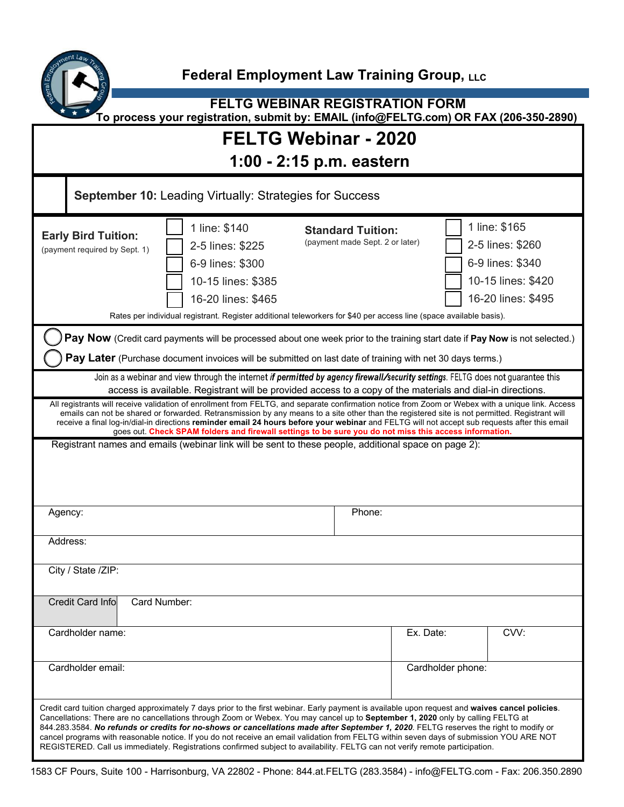

**FELTG WEBINAR REGISTRATION FORM To process your registration, submit by: EMAIL (info@FELTG.com) OR FAX (206-350-2890)**

## **FELTG Webinar - 2020**

**1:00 - 2:15 p.m. eastern** 

| <b>September 10: Leading Virtually: Strategies for Success</b>                                                                                                                                                                                                                                                                                                                                                                                                                                                                                                                                                                                                                                            |                                                                                                                                                                                                                         |                                                             |                   |                                                                                                   |
|-----------------------------------------------------------------------------------------------------------------------------------------------------------------------------------------------------------------------------------------------------------------------------------------------------------------------------------------------------------------------------------------------------------------------------------------------------------------------------------------------------------------------------------------------------------------------------------------------------------------------------------------------------------------------------------------------------------|-------------------------------------------------------------------------------------------------------------------------------------------------------------------------------------------------------------------------|-------------------------------------------------------------|-------------------|---------------------------------------------------------------------------------------------------|
| <b>Early Bird Tuition:</b><br>(payment required by Sept. 1)                                                                                                                                                                                                                                                                                                                                                                                                                                                                                                                                                                                                                                               | 1 line: \$140<br>2-5 lines: \$225<br>6-9 lines: \$300<br>10-15 lines: \$385<br>16-20 lines: \$465<br>Rates per individual registrant. Register additional teleworkers for \$40 per access line (space available basis). | <b>Standard Tuition:</b><br>(payment made Sept. 2 or later) |                   | 1 line: \$165<br>2-5 lines: \$260<br>6-9 lines: \$340<br>10-15 lines: \$420<br>16-20 lines: \$495 |
| Pay Now (Credit card payments will be processed about one week prior to the training start date if Pay Now is not selected.)                                                                                                                                                                                                                                                                                                                                                                                                                                                                                                                                                                              |                                                                                                                                                                                                                         |                                                             |                   |                                                                                                   |
| Pay Later (Purchase document invoices will be submitted on last date of training with net 30 days terms.)                                                                                                                                                                                                                                                                                                                                                                                                                                                                                                                                                                                                 |                                                                                                                                                                                                                         |                                                             |                   |                                                                                                   |
| Join as a webinar and view through the internet if permitted by agency firewall/security settings. FELTG does not guarantee this<br>access is available. Registrant will be provided access to a copy of the materials and dial-in directions.                                                                                                                                                                                                                                                                                                                                                                                                                                                            |                                                                                                                                                                                                                         |                                                             |                   |                                                                                                   |
| All registrants will receive validation of enrollment from FELTG, and separate confirmation notice from Zoom or Webex with a unique link. Access<br>emails can not be shared or forwarded. Retransmission by any means to a site other than the registered site is not permitted. Registrant will<br>receive a final log-in/dial-in directions reminder email 24 hours before your webinar and FELTG will not accept sub requests after this email<br>goes out. Check SPAM folders and firewall settings to be sure you do not miss this access information.                                                                                                                                              |                                                                                                                                                                                                                         |                                                             |                   |                                                                                                   |
|                                                                                                                                                                                                                                                                                                                                                                                                                                                                                                                                                                                                                                                                                                           | Registrant names and emails (webinar link will be sent to these people, additional space on page 2):                                                                                                                    |                                                             |                   |                                                                                                   |
| Agency:                                                                                                                                                                                                                                                                                                                                                                                                                                                                                                                                                                                                                                                                                                   |                                                                                                                                                                                                                         | Phone:                                                      |                   |                                                                                                   |
| Address:                                                                                                                                                                                                                                                                                                                                                                                                                                                                                                                                                                                                                                                                                                  |                                                                                                                                                                                                                         |                                                             |                   |                                                                                                   |
| City / State /ZIP:                                                                                                                                                                                                                                                                                                                                                                                                                                                                                                                                                                                                                                                                                        |                                                                                                                                                                                                                         |                                                             |                   |                                                                                                   |
| <b>Credit Card Info</b><br>Card Number:                                                                                                                                                                                                                                                                                                                                                                                                                                                                                                                                                                                                                                                                   |                                                                                                                                                                                                                         |                                                             |                   |                                                                                                   |
| Cardholder name:                                                                                                                                                                                                                                                                                                                                                                                                                                                                                                                                                                                                                                                                                          |                                                                                                                                                                                                                         |                                                             | Ex. Date:         | CVV:                                                                                              |
| Cardholder email:                                                                                                                                                                                                                                                                                                                                                                                                                                                                                                                                                                                                                                                                                         |                                                                                                                                                                                                                         |                                                             | Cardholder phone: |                                                                                                   |
| Credit card tuition charged approximately 7 days prior to the first webinar. Early payment is available upon request and waives cancel policies.<br>Cancellations: There are no cancellations through Zoom or Webex. You may cancel up to September 1, 2020 only by calling FELTG at<br>844.283.3584. No refunds or credits for no-shows or cancellations made after September 1, 2020. FELTG reserves the right to modify or<br>cancel programs with reasonable notice. If you do not receive an email validation from FELTG within seven days of submission YOU ARE NOT<br>REGISTERED. Call us immediately. Registrations confirmed subject to availability. FELTG can not verify remote participation. |                                                                                                                                                                                                                         |                                                             |                   |                                                                                                   |